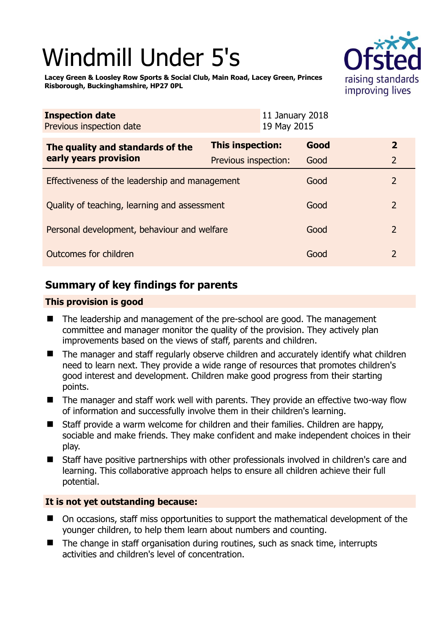# Windmill Under 5's



**Lacey Green & Loosley Row Sports & Social Club, Main Road, Lacey Green, Princes Risborough, Buckinghamshire, HP27 0PL** 

| <b>Inspection date</b><br>Previous inspection date        | 11 January 2018<br>19 May 2015 |      |                |
|-----------------------------------------------------------|--------------------------------|------|----------------|
| The quality and standards of the<br>early years provision | <b>This inspection:</b>        | Good | $\overline{2}$ |
|                                                           | Previous inspection:           | Good | $\overline{2}$ |
| Effectiveness of the leadership and management            |                                | Good | 2              |
| Quality of teaching, learning and assessment              |                                | Good | $\overline{2}$ |
| Personal development, behaviour and welfare               |                                | Good | $\overline{2}$ |
| Outcomes for children                                     |                                | Good | $\overline{2}$ |

# **Summary of key findings for parents**

## **This provision is good**

- The leadership and management of the pre-school are good. The management committee and manager monitor the quality of the provision. They actively plan improvements based on the views of staff, parents and children.
- The manager and staff regularly observe children and accurately identify what children need to learn next. They provide a wide range of resources that promotes children's good interest and development. Children make good progress from their starting points.
- The manager and staff work well with parents. They provide an effective two-way flow of information and successfully involve them in their children's learning.
- Staff provide a warm welcome for children and their families. Children are happy, sociable and make friends. They make confident and make independent choices in their play.
- Staff have positive partnerships with other professionals involved in children's care and learning. This collaborative approach helps to ensure all children achieve their full potential.

## **It is not yet outstanding because:**

- On occasions, staff miss opportunities to support the mathematical development of the younger children, to help them learn about numbers and counting.
- $\blacksquare$  The change in staff organisation during routines, such as snack time, interrupts activities and children's level of concentration.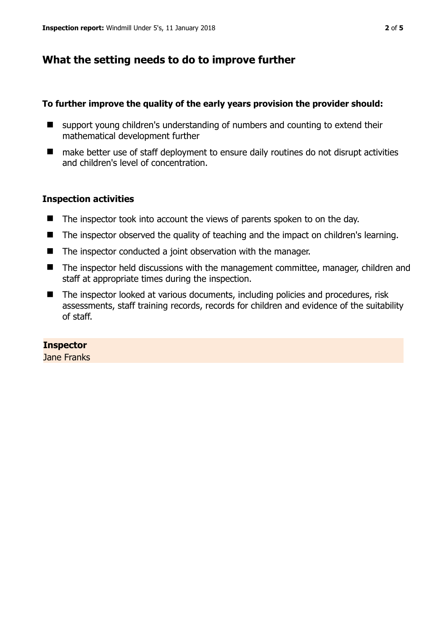# **What the setting needs to do to improve further**

### **To further improve the quality of the early years provision the provider should:**

- support young children's understanding of numbers and counting to extend their mathematical development further
- make better use of staff deployment to ensure daily routines do not disrupt activities and children's level of concentration.

## **Inspection activities**

- The inspector took into account the views of parents spoken to on the day.
- The inspector observed the quality of teaching and the impact on children's learning.
- The inspector conducted a joint observation with the manager.
- The inspector held discussions with the management committee, manager, children and staff at appropriate times during the inspection.
- The inspector looked at various documents, including policies and procedures, risk assessments, staff training records, records for children and evidence of the suitability of staff.

## **Inspector**

Jane Franks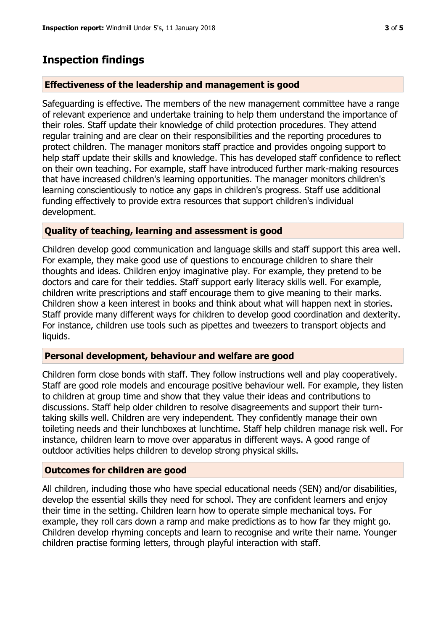# **Inspection findings**

### **Effectiveness of the leadership and management is good**

Safeguarding is effective. The members of the new management committee have a range of relevant experience and undertake training to help them understand the importance of their roles. Staff update their knowledge of child protection procedures. They attend regular training and are clear on their responsibilities and the reporting procedures to protect children. The manager monitors staff practice and provides ongoing support to help staff update their skills and knowledge. This has developed staff confidence to reflect on their own teaching. For example, staff have introduced further mark-making resources that have increased children's learning opportunities. The manager monitors children's learning conscientiously to notice any gaps in children's progress. Staff use additional funding effectively to provide extra resources that support children's individual development.

#### **Quality of teaching, learning and assessment is good**

Children develop good communication and language skills and staff support this area well. For example, they make good use of questions to encourage children to share their thoughts and ideas. Children enjoy imaginative play. For example, they pretend to be doctors and care for their teddies. Staff support early literacy skills well. For example, children write prescriptions and staff encourage them to give meaning to their marks. Children show a keen interest in books and think about what will happen next in stories. Staff provide many different ways for children to develop good coordination and dexterity. For instance, children use tools such as pipettes and tweezers to transport objects and liquids.

#### **Personal development, behaviour and welfare are good**

Children form close bonds with staff. They follow instructions well and play cooperatively. Staff are good role models and encourage positive behaviour well. For example, they listen to children at group time and show that they value their ideas and contributions to discussions. Staff help older children to resolve disagreements and support their turntaking skills well. Children are very independent. They confidently manage their own toileting needs and their lunchboxes at lunchtime. Staff help children manage risk well. For instance, children learn to move over apparatus in different ways. A good range of outdoor activities helps children to develop strong physical skills.

#### **Outcomes for children are good**

All children, including those who have special educational needs (SEN) and/or disabilities, develop the essential skills they need for school. They are confident learners and enjoy their time in the setting. Children learn how to operate simple mechanical toys. For example, they roll cars down a ramp and make predictions as to how far they might go. Children develop rhyming concepts and learn to recognise and write their name. Younger children practise forming letters, through playful interaction with staff.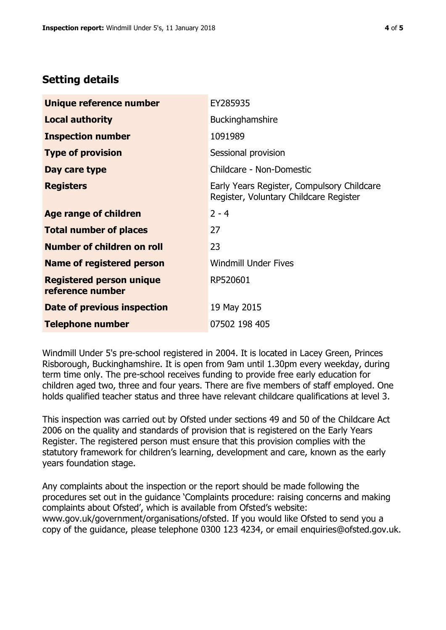# **Setting details**

| Unique reference number                             | EY285935                                                                             |  |
|-----------------------------------------------------|--------------------------------------------------------------------------------------|--|
| <b>Local authority</b>                              | Buckinghamshire                                                                      |  |
| <b>Inspection number</b>                            | 1091989                                                                              |  |
| <b>Type of provision</b>                            | Sessional provision                                                                  |  |
| Day care type                                       | Childcare - Non-Domestic                                                             |  |
| <b>Registers</b>                                    | Early Years Register, Compulsory Childcare<br>Register, Voluntary Childcare Register |  |
| Age range of children                               | $2 - 4$                                                                              |  |
| <b>Total number of places</b>                       | 27                                                                                   |  |
| Number of children on roll                          | 23                                                                                   |  |
| Name of registered person                           | <b>Windmill Under Fives</b>                                                          |  |
| <b>Registered person unique</b><br>reference number | RP520601                                                                             |  |
| Date of previous inspection                         | 19 May 2015                                                                          |  |
| <b>Telephone number</b>                             | 07502 198 405                                                                        |  |

Windmill Under 5's pre-school registered in 2004. It is located in Lacey Green, Princes Risborough, Buckinghamshire. It is open from 9am until 1.30pm every weekday, during term time only. The pre-school receives funding to provide free early education for children aged two, three and four years. There are five members of staff employed. One holds qualified teacher status and three have relevant childcare qualifications at level 3.

This inspection was carried out by Ofsted under sections 49 and 50 of the Childcare Act 2006 on the quality and standards of provision that is registered on the Early Years Register. The registered person must ensure that this provision complies with the statutory framework for children's learning, development and care, known as the early years foundation stage.

Any complaints about the inspection or the report should be made following the procedures set out in the guidance 'Complaints procedure: raising concerns and making complaints about Ofsted', which is available from Ofsted's website: www.gov.uk/government/organisations/ofsted. If you would like Ofsted to send you a copy of the guidance, please telephone 0300 123 4234, or email enquiries@ofsted.gov.uk.